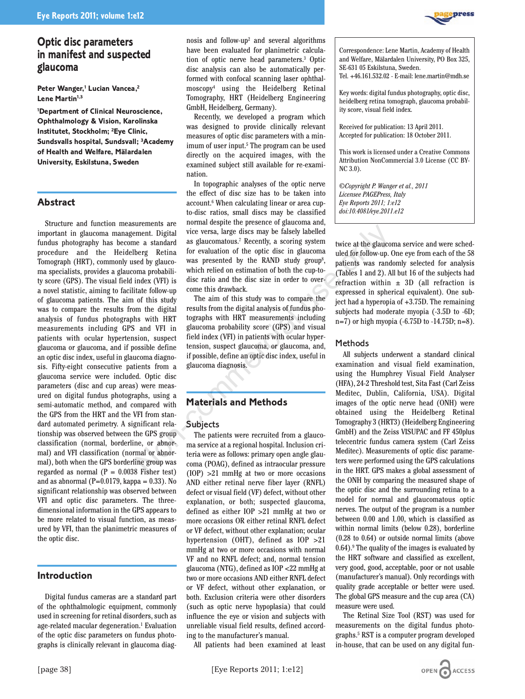

**Peter Wanger,<sup>1</sup> Lucian Vancea,<sup>2</sup> Lene Martin1,3**

**1 Department of Clinical Neuroscience, Ophthalmology & Vision, Karolinska Institutet, Stockholm; 2 Eye Clinic, Sundsvalls hospital, Sundsvall; 3Academy of Health and Welfare, Mälardalen University, Eskilstuna, Sweden**

## **Abstract**

Structure and function measurements are important in glaucoma management. Digital fundus photography has become a standard procedure and the Heidelberg Retina Tomograph (HRT), commonly used by glaucoma specialists, provides a glaucoma probability score (GPS). The visual field index (VFI) is a novel statistic, aiming to facilitate follow-up of glaucoma patients. The aim of this study was to compare the results from the digital analysis of fundus photographs with HRT measurements including GPS and VFI in patients with ocular hypertension, suspect glaucoma or glaucoma, and if possible define an optic disc index, useful in glaucoma diagnosis. Fifty-eight consecutive patients from a glaucoma service were included. Optic disc parameters (disc and cup areas) were measured on digital fundus photographs, using a semi-automatic method, and compared with the GPS from the HRT and the VFI from standard automated perimetry. A significant relationship was observed between the GPS group classification (normal, borderline, or abnormal) and VFI classification (normal or abnormal), both when the GPS borderline group was regarded as normal  $(P = 0.0038$  Fisher test) and as abnormal ( $P=0.0179$ , kappa = 0.33). No significant relationship was observed between VFI and optic disc parameters. The threedimensional information in the GPS appears to be more related to visual function, as measured by VFI, than the planimetric measures of the optic disc. ment. Digital vice versa, large discs may be falsely labelled<br>
inent. Digital vice versa, large discs may be falsely labelled<br>
here a standard as glaucomatous.<sup>7</sup> Recently, a scoring system<br>
beed by glauco-<br>
seed by glauco

## **Introduction**

Digital fundus cameras are a standard part of the ophthalmologic equipment, commonly used in screening for retinal disorders, such as age-related macular degeneration.<sup>1</sup> Evaluation of the optic disc parameters on fundus photographs is clinically relevant in glaucoma diagnosis and follow-up2 and several algorithms have been evaluated for planimetric calculation of optic nerve head parameters.3 Optic disc analysis can also be automatically performed with confocal scanning laser ophthalmoscopy4 using the Heidelberg Retinal Tomography, HRT (Heidelberg Engineering GmbH, Heidelberg, Germany).

Recently, we developed a program which was designed to provide clinically relevant measures of optic disc parameters with a minimum of user input.<sup>5</sup> The program can be used directly on the acquired images, with the examined subject still available for re-examination.

In topographic analyses of the optic nerve the effect of disc size has to be taken into account.6 When calculating linear or area cupto-disc ratios, small discs may be classified normal despite the presence of glaucoma and, vice versa, large discs may be falsely labelled as glaucomatous.7 Recently, a scoring system for evaluation of the optic disc in glaucoma was presented by the RAND study group<sup>8</sup>, which relied on estimation of both the cup-todisc ratio and the disc size in order to overcome this drawback.

The aim of this study was to compare the results from the digital analysis of fundus photographs with HRT measurements including glaucoma probability score (GPS) and visual field index (VFI) in patients with ocular hypertension, suspect glaucoma, or glaucoma, and, if possible, define an optic disc index, useful in glaucoma diagnosis.

## **Materials and Methods**

### Subjects

The patients were recruited from a glaucoma service at a regional hospital. Inclusion criteria were as follows: primary open angle glaucoma (POAG), defined as intraocular pressure (IOP) >21 mmHg at two or more occasions AND either retinal nerve fiber layer (RNFL) defect or visual field (VF) defect, without other explanation, or both; suspected glaucoma, defined as either IOP >21 mmHg at two or more occasions OR either retinal RNFL defect or VF defect, without other explanation; ocular hypertension (OHT), defined as IOP >21 mmHg at two or more occasions with normal VF and no RNFL defect; and, normal tension glaucoma (NTG), defined as IOP <22 mmHg at two or more occasions AND either RNFL defect or VF defect, without other explanation, or both. Exclusion criteria were other disorders (such as optic nerve hypoplasia) that could influence the eye or vision and subjects with unreliable visual field results, defined according to the manufacturer's manual.

All patients had been examined at least

Correspondence: Lene Martin, Academy of Health and Welfare, Mälardalen University, PO Box 325, SE-631 05 Eskilstuna, Sweden.

Tel. +46.161.532.02 - E-mail: lene.martin@mdh.se

Key words: digital fundus photography, optic disc, heidelberg retina tomograph, glaucoma probability score, visual field index.

Received for publication: 13 April 2011. Accepted for publication: 18 October 2011.

This work is licensed under a Creative Commons Attribution NonCommercial 3.0 License (CC BY-NC 3.0).

*©Copyright P. Wanger et al., 2011 Licensee PAGEPress, Italy Eye Reports 2011; 1:e12 doi:10.4081/eye.2011.e12*

twice at the glaucoma service and were scheduled for follow-up. One eye from each of the 58 patients was randomly selected for analysis (Tables 1 and 2). All but 16 of the subjects had refraction within  $\pm$  3D (all refraction is expressed in spherical equivalent). One subject had a hyperopia of +3.75D. The remaining subjects had moderate myopia (-3.5D to -6D; n=7) or high myopia (-6.75D to -14.75D; n=8).

### Methods

All subjects underwent a standard clinical examination and visual field examination, using the Humphrey Visual Field Analyser (HFA), 24-2 Threshold test, Sita Fast (Carl Zeiss Meditec, Dublin, California, USA). Digital images of the optic nerve head (ONH) were obtained using the Heidelberg Retinal Tomography 3 (HRT3) (Heidelberg Engineering GmbH) and the Zeiss VISUPAC and FF 450plus telecentric fundus camera system (Carl Zeiss Meditec). Measurements of optic disc parameters were performed using the GPS calculations in the HRT. GPS makes a global assessment of the ONH by comparing the measured shape of the optic disc and the surrounding retina to a model for normal and glaucomatous optic nerves. The output of the program is a number between 0.00 and 1.00, which is classified as within normal limits (below 0.28), borderline (0.28 to 0.64) or outside normal limits (above 0.64).9 The quality of the images is evaluated by the HRT software and classified as excellent, very good, good, acceptable, poor or not usable (manufacturer's manual). Only recordings with quality grade acceptable or better were used. The global GPS measure and the cup area (CA) measure were used.

The Retinal Size Tool (RST) was used for measurements on the digital fundus photographs.5 RST is a computer program developed in-house, that can be used on any digital fun-

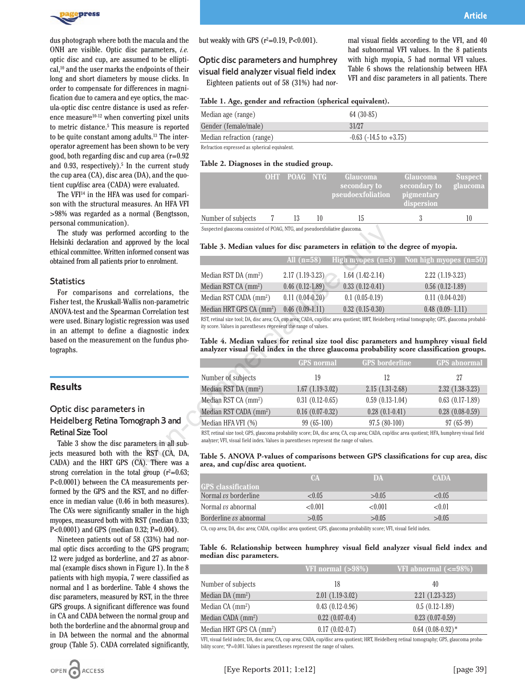

dus photograph where both the macula and the ONH are visible. Optic disc parameters, *i.e.* optic disc and cup, are assumed to be elliptical,<sup>10</sup> and the user marks the endpoints of their long and short diameters by mouse clicks. In order to compensate for differences in magnification due to camera and eye optics, the macula-optic disc centre distance is used as reference measure10-12 when converting pixel units to metric distance.5 This measure is reported to be quite constant among adults.13 The interoperator agreement has been shown to be very good, both regarding disc and cup area (r=0.92 and  $0.93$ , respectively).<sup>5</sup> In the current study the cup area (CA), disc area (DA), and the quotient cup/disc area (CADA) were evaluated.

The VFI<sup>14</sup> in the HFA was used for comparison with the structural measures. An HFA VFI >98% was regarded as a normal (Bengtsson, personal communication).

The study was performed according to the Helsinki declaration and approved by the local ethical committee. Written informed consent was obtained from all patients prior to enrolment.

### **Statistics**

For comparisons and correlations, the Fisher test, the Kruskall-Wallis non-parametric ANOVA-test and the Spearman Correlation test were used. Binary logistic regression was used in an attempt to define a diagnostic index based on the measurement on the fundus photographs.

### **Results**

## Optic disc parameters in Heidelberg Retina Tomograph 3 and Retinal Size Tool

Table 3 show the disc parameters in all subjects measured both with the RST (CA, DA, CADA) and the HRT GPS (CA). There was a strong correlation in the total group  $(r^2=0.63;$ P<0.0001) between the CA measurements performed by the GPS and the RST, and no difference in median value (0.46 in both measures). The CA's were significantly smaller in the high myopes, measured both with RST (median 0.33; P<0.0001) and GPS (median 0.32; P=0.004).

Nineteen patients out of 58 (33%) had normal optic discs according to the GPS program; 12 were judged as borderline, and 27 as abnormal (example discs shown in Figure 1). In the 8 patients with high myopia, 7 were classified as normal and 1 as borderline. Table 4 shows the disc parameters, measured by RST, in the three GPS groups. A significant difference was found in CA and CADA between the normal group and both the borderline and the abnormal group and in DA between the normal and the abnormal group (Table 5). CADA correlated significantly, but weakly with GPS  $(r^2=0.19, P<0.001)$ .

# Optic disc parameters and humphrey visual field analyzer visual field index Eighteen patients out of 58 (31%) had nor-

mal visual fields according to the VFI, and 40 had subnormal VFI values. In the 8 patients with high myopia, 5 had normal VFI values. Table 6 shows the relationship between HFA VFI and disc parameters in all patients. There

| Median age (range)        | $64(30-85)$                    |
|---------------------------|--------------------------------|
| Gender (female/male)      | 31/27                          |
| Median refraction (range) | $-0.63$ ( $-14.5$ to $+3.75$ ) |

Refraction expressed as spherical equivalent.

### **Table 2. Diagnoses in the studied group.**

|                                                                            | OHT POAG NTG | Glaucoma<br>secondary to<br>pseudoexfoliation | Glaucoma<br>secondary to<br>pigmentary<br>dispersion | <b>Suspect</b><br>glaucoma |
|----------------------------------------------------------------------------|--------------|-----------------------------------------------|------------------------------------------------------|----------------------------|
| Number of subjects                                                         | 13           | 15                                            |                                                      | 10                         |
| Suspected glaucoma consisted of POAG, NTG, and pseudoexfoliative glaucoma. |              |                                               |                                                      |                            |

### **Table 3. Median values for disc parameters in relation to the degree of myopia.**

|                                      | All $(n=58)$      | High myopes $(n=8)$ | Non high myopes $(n=50)$                                                |
|--------------------------------------|-------------------|---------------------|-------------------------------------------------------------------------|
| Median RST DA $\text{(mm}^2)$        | $2.17(1.19-3.23)$ | $1.64(1.42-2.14)$   | $2.22(1.19-3.23)$                                                       |
| Median RST CA $(mm^2)$               | $0.46(0.12-1.89)$ | $0.33(0.12-0.41)$   | $0.56(0.12-1.89)$                                                       |
| Median RST CADA (mm <sup>2</sup> )   | $0.11(0.04-0.20)$ | $0.1(0.05-0.19)$    | $0.11(0.04-0.20)$                                                       |
| Median HRT GPS CA (mm <sup>2</sup> ) | $0.46(0.09-1.11)$ | $0.32(0.15-0.30)$   | $0.48$ $(0.09 - 1.11)$                                                  |
|                                      |                   |                     | ויוני ומחמו יותריות וויידודות ויותר וויותר מודים ומודים והיותריות ומחמו |

#### **Table 4. Median values for retinal size tool disc parameters and humphrey visual field analyzer visual field index in the three glaucoma probability score classification groups.**

| l according to the                                            | Suspected glaucoma consisted of POAG, NTG, and pseudoexfoliative glaucoma.                                                                                                                                                                |                   |                       |                                                                                                                                                                                      |  |  |
|---------------------------------------------------------------|-------------------------------------------------------------------------------------------------------------------------------------------------------------------------------------------------------------------------------------------|-------------------|-----------------------|--------------------------------------------------------------------------------------------------------------------------------------------------------------------------------------|--|--|
| proved by the local<br>ormed consent was                      | Table 3. Median values for disc parameters in relation to the degree of myopia.                                                                                                                                                           |                   |                       |                                                                                                                                                                                      |  |  |
| or to enrolment.                                              |                                                                                                                                                                                                                                           | All $(n=58)$      | High myopes $(n=8)$   | Non high myopes $(n=50)$                                                                                                                                                             |  |  |
|                                                               | Median RST DA $\text{(mm}^2)$                                                                                                                                                                                                             | $2.17(1.19-3.23)$ | $1.64(1.42-2.14)$     | $2.22(1.19-3.23)$                                                                                                                                                                    |  |  |
|                                                               | Median RST CA (mm <sup>2</sup> )                                                                                                                                                                                                          | $0.46(0.12-1.89)$ | $0.33(0.12-0.41)$     | $0.56(0.12-1.89)$                                                                                                                                                                    |  |  |
| correlations, the<br>lis non-parametric                       | Median RST CADA (mm <sup>2</sup> )                                                                                                                                                                                                        | $0.11(0.04-0.20)$ | $0.1(0.05-0.19)$      | $0.11(0.04-0.20)$                                                                                                                                                                    |  |  |
| an Correlation test                                           | Median HRT GPS CA (mm <sup>2</sup> )                                                                                                                                                                                                      | $0.46(0.09-1.11)$ | $0.32(0.15-0.30)$     | $0.48$ $(0.09 - 1.11)$                                                                                                                                                               |  |  |
| gression was used<br>diagnostic index                         | ity score. Values in parentheses represent the range of values.                                                                                                                                                                           |                   |                       | RST, retinal size tool; DA, disc area; CA, cup area; CADA, cup/disc area quotient; HRT, Heidelberg retinal tomography; GPS, glaucoma probabil-                                       |  |  |
| on the fundus pho-                                            |                                                                                                                                                                                                                                           |                   |                       | Table 4. Median values for retinal size tool disc parameters and humphrey visual field<br>analyzer visual field index in the three glaucoma probability score classification groups. |  |  |
|                                                               |                                                                                                                                                                                                                                           | <b>GPS</b> normal | <b>GPS</b> borderline | <b>GPS</b> abnormal                                                                                                                                                                  |  |  |
|                                                               | Number of subjects                                                                                                                                                                                                                        | 19                | 12                    | 27                                                                                                                                                                                   |  |  |
|                                                               | Median RST DA (mm <sup>2</sup> )                                                                                                                                                                                                          | $1.67(1.19-3.02)$ | $2.15(1.31-2.68)$     | $2.32(1.38-3.23)$                                                                                                                                                                    |  |  |
|                                                               | Median RST CA (mm <sup>2</sup> )                                                                                                                                                                                                          | $0.31(0.12-0.65)$ | $0.59(0.13-1.04)$     | $0.63(0.17-1.89)$                                                                                                                                                                    |  |  |
| ; in                                                          | Median RST CADA (mm <sup>2</sup> )                                                                                                                                                                                                        | $0.16(0.07-0.32)$ | $0.28(0.1-0.41)$      | $0.28(0.08-0.59)$                                                                                                                                                                    |  |  |
| ograph 3 and                                                  | Median HFA VFI (%)                                                                                                                                                                                                                        | $99(65-100)$      | $97.5(80-100)$        | $97(65-99)$                                                                                                                                                                          |  |  |
| ameters in all sub-                                           | RST, retinal size tool; GPS, glaucoma probability score; DA, disc area; CA, cup area; CADA, cup/disc area quotient; HFA, humphrey visual field<br>analyzer; VFI, visual field index. Values in parentheses represent the range of values. |                   |                       |                                                                                                                                                                                      |  |  |
| the RST (CA, DA,<br>CA). There was a<br>al oroun $(r^2=0.63)$ | Table 5. ANOVA P-values of comparisons between GPS classifications for cup area, disc<br>area, and cup/disc area quotient.                                                                                                                |                   |                       |                                                                                                                                                                                      |  |  |

#### **Table 5. ANOVA P-values of comparisons between GPS classifications for cup area, disc area, and cup/disc area quotient.**

|                               | CA      | <b>IDA</b> | <b>CADA</b> |  |
|-------------------------------|---------|------------|-------------|--|
| <b>IGPS</b> classification    |         |            |             |  |
| Normal $\nu s$ borderline     | <0.05   | > 0.05     | ${<}0.05$   |  |
| Normal $\nu s$ abnormal       | < 0.001 | <0.001     | < 0.01      |  |
| Borderline <i>vs</i> abnormal | > 0.05  | > 0.05     | > 0.05      |  |

CA, cup area; DA, disc area; CADA, cup/disc area quotient; GPS, glaucoma probability score; VFI, visual field index.

### **Table 6. Relationship between humphrey visual field analyzer visual field index and median disc parameters.**

|                                      | VFI normal $(>98%)$ | VFI abnormal $\left(<=98\% \right)$ |
|--------------------------------------|---------------------|-------------------------------------|
| Number of subjects                   | 18                  | 40                                  |
| Median DA $(mm^2)$                   | $2.01(1.19-3.02)$   | $2.21(1.23-3.23)$                   |
| Median $CA$ (mm <sup>2</sup> )       | $0.43(0.12-0.96)$   | $0.5(0.12-1.89)$                    |
| Median CADA $(mm^2)$                 | $0.22(0.07-0.4)$    | $0.23(0.07-0.59)$                   |
| Median HRT GPS CA (mm <sup>2</sup> ) | $0.17(0.02-0.7)$    | $0.64$ $(0.08-0.92)*$               |

VFI, visual field index; DA, disc area; CA, cup area; CADA, cup/disc area quotient; HRT, Heidelberg retinal tomography; GPS, glaucoma probability score; \*P=0.001. Values in parentheses represent the range of values.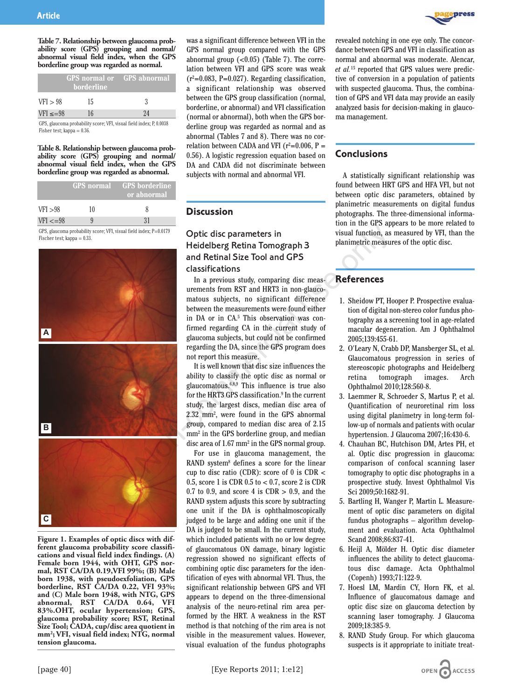**Table 7. Relationship between glaucoma probability score (GPS) grouping and normal/ abnormal visual field index, when the GPS borderline group was regarded as normal.**

|              | <b>borderline</b> | GPS normal or GPS abnormal |
|--------------|-------------------|----------------------------|
| VFI > 98     | 15.               |                            |
| $VFI \le 98$ | 16                | 94                         |

GPS, glaucoma probability score; VFI, visual field index; P, 0.0038 Fisher test; kappa  $= 0.36$ .

#### **Table 8. Relationship between glaucoma probability score (GPS) grouping and normal/ abnormal visual field index, when the GPS borderline group was regarded as abnormal.**

|                                                                    | <b>GPS</b> normal | ' GPS borderline<br>or abnormal |  |
|--------------------------------------------------------------------|-------------------|---------------------------------|--|
| VFI > 98                                                           | 10                | X                               |  |
| $VFI \leq = 98$                                                    |                   | 31                              |  |
| GPS glaucoma probability score: VFI visual field index: $P=0.0179$ |                   |                                 |  |

GPS, glaucoma probability score; VFI, visual field index; P=0.0179 Fischer test; kappa = 0.33.



**ferent glaucoma probability score classifications and visual field index findings. (A) Female born 1944, with OHT, GPS normal, RST CA/DA 0.19,VFI 99%; (B) Male born 1938, with pseudoexfoliation, GPS borderline, RST CA/DA 0.22, VFI 93%; and (C) Male born 1948, with NTG, GPS abnormal, RST CA/DA 0.64, VFI 83%.OHT, ocular hypertension; GPS, glaucoma probability score; RST, Retinal Size Tool; CADA, cup/disc area quotient in mm2; VFI, visual field index; NTG, normal tension glaucoma.**

was a significant difference between VFI in the GPS normal group compared with the GPS abnormal group  $(<0.05$ ) (Table 7). The correlation between VFI and GPS score was weak  $(r^2=0.083, P=0.027)$ . Regarding classification, a significant relationship was observed between the GPS group classification (normal, borderline, or abnormal) and VFI classification (normal or abnormal), both when the GPS borderline group was regarded as normal and as abnormal (Tables 7 and 8). There was no correlation between CADA and VFI ( $r^2$ =0.006, P = 0.56). A logistic regression equation based on DA and CADA did not discriminate between subjects with normal and abnormal VFI.

## **Discussion**

# Optic disc parameters in Heidelberg Retina Tomograph 3 and Retinal Size Tool and GPS classifications

In a previous study, comparing disc measurements from RST and HRT3 in non-glaucomatous subjects, no significant difference between the measurements were found either in DA or in CA.5 This observation was confirmed regarding CA in the current study of glaucoma subjects, but could not be confirmed regarding the DA, since the GPS program does not report this measure. dinder, P=0.0179<br> **Copic disc parameters in**<br>
Wisual function, as<br>
Heidelberg Retina Tomograph 3<br>
In a previous study, comparing disc measurements from RST and HRT3 in non-glauco-<br>
uraments from RST and HRT3 in non-glauco

It is well known that disc size influences the ability to classify the optic disc as normal or glaucomatous.6,8,9 This influence is true also for the HRT3 GPS classification.<sup>9</sup> In the current study, the largest discs, median disc area of 2.32 mm2 , were found in the GPS abnormal group, compared to median disc area of 2.15 mm2 in the GPS borderline group, and median disc area of 1.67 mm2 in the GPS normal group.

For use in glaucoma management, the RAND system<sup>8</sup> defines a score for the linear cup to disc ratio (CDR): score of 0 is  $CDR <$ 0.5, score 1 is CDR 0.5 to < 0.7, score 2 is CDR 0.7 to 0.9, and score 4 is  $CDR > 0.9$ , and the RAND system adjusts this score by subtracting one unit if the DA is ophthalmoscopically judged to be large and adding one unit if the DA is judged to be small. In the current study, which included patients with no or low degree of glaucomatous ON damage, binary logistic regression showed no significant effects of combining optic disc parameters for the identification of eyes with abnormal VFI. Thus, the significant relationship between GPS and VFI appears to depend on the three-dimensional analysis of the neuro-retinal rim area performed by the HRT. A weakness in the RST method is that notching of the rim area is not visible in the measurement values. However, visual evaluation of the fundus photographs



revealed notching in one eye only. The concordance between GPS and VFI in classification as normal and abnormal was moderate. Alencar, *et al.*<sup>15</sup> reported that GPS values were predictive of conversion in a population of patients with suspected glaucoma. Thus, the combination of GPS and VFI data may provide an easily analyzed basis for decision-making in glaucoma management.

# **Conclusions**

A statistically significant relationship was found between HRT GPS and HFA VFI, but not between optic disc parameters, obtained by planimetric measurements on digital fundus photographs. The three-dimensional information in the GPS appears to be more related to visual function, as measured by VFI, than the planimetric measures of the optic disc.

## **References**

- 1. Sheidow PT, Hooper P. Prospective evaluation of digital non-stereo color fundus photography as a screening tool in age-related macular degeneration. Am J Ophthalmol 2005;139:455-61.
- 2. O'Leary N, Crabb DP, Mansberger SL, et al. Glaucomatous progression in series of stereoscopic photographs and Heidelberg retina tomograph images. Arch Ophthalmol 2010;128:560-8.
- 3. Laemmer R, Schroeder S, Martus P, et al. Quantification of neuroretinal rim loss using digital planimetry in long-term follow-up of normals and patients with ocular hypertension. J Glaucoma 2007;16:430-6.
- 4. Chauhan BC, Hutchison DM, Artes PH, et al. Optic disc progression in glaucoma: comparison of confocal scanning laser tomography to optic disc photographs in a prospective study. Invest Ophthalmol Vis Sci 2009;50:1682-91.
- 5. Bartling H, Wanger P, Martin L. Measurement of optic disc parameters on digital fundus photographs – algorithm development and evaluation. Acta Ophthalmol Scand 2008;86:837-41.
- 6. Heijl A, Mölder H. Optic disc diameter influences the ability to detect glaucomatous disc damage. Acta Ophthalmol (Copenh) 1993;71:122-9.
- 7. Hoesl LM, Mardin CY, Horn FK, et al. Influence of glaucomatous damage and optic disc size on glaucoma detection by scanning laser tomography. J Glaucoma 2009;18:385-9.
- 8. RAND Study Group. For which glaucoma suspects is it appropriate to initiate treat-